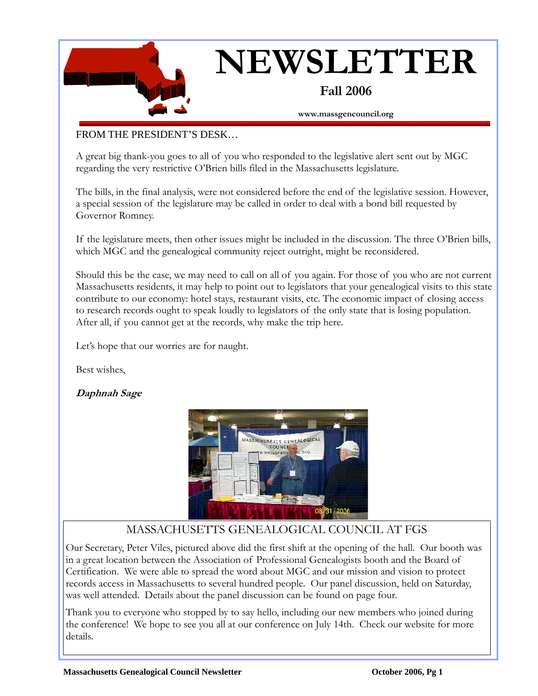

# **NEWSLETTER**

#### **Fall 2006**

**www.massgencouncil.org** 

#### FROM THE PRESIDENT'S DESK…

A great big thank-you goes to all of you who responded to the legislative alert sent out by MGC regarding the very restrictive O'Brien bills filed in the Massachusetts legislature.

The bills, in the final analysis, were not considered before the end of the legislative session. However, a special session of the legislature may be called in order to deal with a bond bill requested by Governor Romney.

If the legislature meets, then other issues might be included in the discussion. The three O'Brien bills, which MGC and the genealogical community reject outright, might be reconsidered.

Should this be the case, we may need to call on all of you again. For those of you who are not current Massachusetts residents, it may help to point out to legislators that your genealogical visits to this state contribute to our economy: hotel stays, restaurant visits, etc. The economic impact of closing access to research records ought to speak loudly to legislators of the only state that is losing population. After all, if you cannot get at the records, why make the trip here.

Let's hope that our worries are for naught.

Best wishes,

#### **Daphnah Sage**



#### MASSACHUSETTS GENEALOGICAL COUNCIL AT FGS

Our Secretary, Peter Viles, pictured above did the first shift at the opening of the hall. Our booth was in a great location between the Association of Professional Genealogists booth and the Board of Certification. We were able to spread the word about MGC and our mission and vision to protect records access in Massachusetts to several hundred people. Our panel discussion, held on Saturday, was well attended. Details about the panel discussion can be found on page four.

Thank you to everyone who stopped by to say hello, including our new members who joined during the conference! We hope to see you all at our conference on July 14th. Check our website for more details.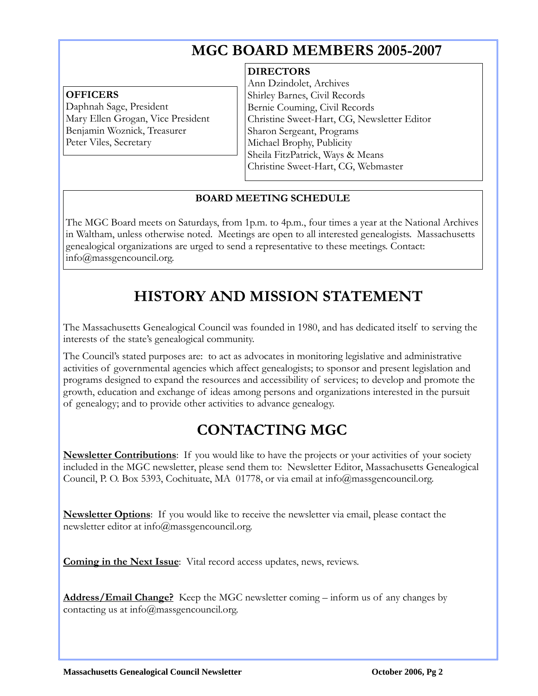# **MGC BOARD MEMBERS 2005-2007**

#### **OFFICERS**

 $\overline{a}$ 

Daphnah Sage, President Mary Ellen Grogan, Vice President Benjamin Woznick, Treasurer Peter Viles, Secretary

#### **DIRECTORS**

Ann Dzindolet, Archives Shirley Barnes, Civil Records Bernie Couming, Civil Records Christine Sweet-Hart, CG, Newsletter Editor Sharon Sergeant, Programs Michael Brophy, Publicity Sheila FitzPatrick, Ways & Means Christine Sweet-Hart, CG, Webmaster

#### **BOARD MEETING SCHEDULE**

The MGC Board meets on Saturdays, from 1p.m. to 4p.m., four times a year at the National Archives in Waltham, unless otherwise noted. Meetings are open to all interested genealogists. Massachusetts genealogical organizations are urged to send a representative to these meetings. Contact: info@massgencouncil.org.

# **HISTORY AND MISSION STATEMENT**

The Massachusetts Genealogical Council was founded in 1980, and has dedicated itself to serving the interests of the state's genealogical community.

The Council's stated purposes are: to act as advocates in monitoring legislative and administrative activities of governmental agencies which affect genealogists; to sponsor and present legislation and programs designed to expand the resources and accessibility of services; to develop and promote the growth, education and exchange of ideas among persons and organizations interested in the pursuit of genealogy; and to provide other activities to advance genealogy.

# **CONTACTING MGC**

**Newsletter Contributions**: If you would like to have the projects or your activities of your society included in the MGC newsletter, please send them to: Newsletter Editor, Massachusetts Genealogical Council, P. O. Box 5393, Cochituate, MA 01778, or via email at info@massgencouncil.org.

**Newsletter Options**: If you would like to receive the newsletter via email, please contact the newsletter editor at info@massgencouncil.org.

**Coming in the Next Issue**: Vital record access updates, news, reviews.

**Address/Email Change?** Keep the MGC newsletter coming – inform us of any changes by contacting us at info@massgencouncil.org.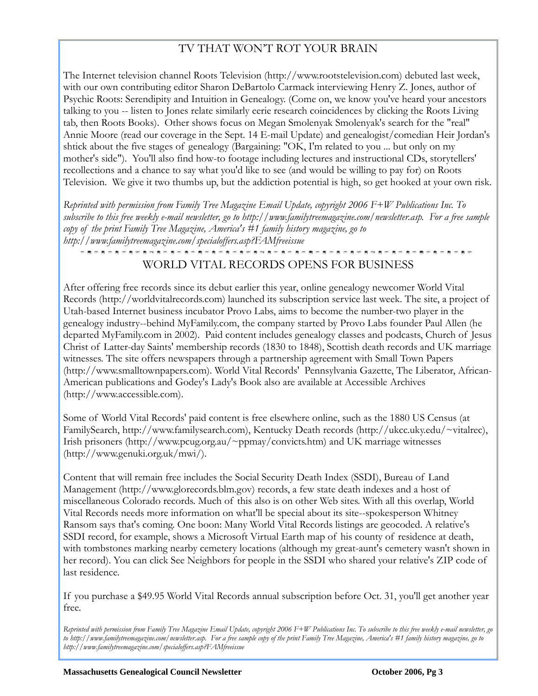#### TV THAT WON'T ROT YOUR BRAIN

The Internet television channel Roots Television (http://www.rootstelevision.com) debuted last week, with our own contributing editor Sharon DeBartolo Carmack interviewing Henry Z. Jones, author of Psychic Roots: Serendipity and Intuition in Genealogy. (Come on, we know you've heard your ancestors talking to you -- listen to Jones relate similarly eerie research coincidences by clicking the Roots Living tab, then Roots Books). Other shows focus on Megan Smolenyak Smolenyak's search for the "real" Annie Moore (read our coverage in the Sept. 14 E-mail Update) and genealogist/comedian Heir Jordan's shtick about the five stages of genealogy (Bargaining: "OK, I'm related to you ... but only on my mother's side"). You'll also find how-to footage including lectures and instructional CDs, storytellers' recollections and a chance to say what you'd like to see (and would be willing to pay for) on Roots Television. We give it two thumbs up, but the addiction potential is high, so get hooked at your own risk.

*Reprinted with permission from Family Tree Magazine Email Update, copyright 2006 F+W Publications Inc. To subscribe to this free weekly e-mail newsletter, go to http://www.familytreemagazine.com/newsletter.asp. For a free sample copy of the print Family Tree Magazine, America's #1 family history magazine, go to http://www.familytreemagazine.com/specialoffers.asp?FAMfreeissue* 

#### WORLD VITAL RECORDS OPENS FOR BUSINESS

After offering free records since its debut earlier this year, online genealogy newcomer World Vital Records (http://worldvitalrecords.com) launched its subscription service last week. The site, a project of Utah-based Internet business incubator Provo Labs, aims to become the number-two player in the genealogy industry--behind MyFamily.com, the company started by Provo Labs founder Paul Allen (he departed MyFamily.com in 2002). Paid content includes genealogy classes and podcasts, Church of Jesus Christ of Latter-day Saints' membership records (1830 to 1848), Scottish death records and UK marriage witnesses. The site offers newspapers through a partnership agreement with Small Town Papers (http://www.smalltownpapers.com). World Vital Records' Pennsylvania Gazette, The Liberator, African-American publications and Godey's Lady's Book also are available at Accessible Archives (http://www.accessible.com).

Some of World Vital Records' paid content is free elsewhere online, such as the 1880 US Census (at FamilySearch, http://www.familysearch.com), Kentucky Death records (http://ukcc.uky.edu/~vitalrec), Irish prisoners (http://www.pcug.org.au/~ppmay/convicts.htm) and UK marriage witnesses (http://www.genuki.org.uk/mwi/).

Content that will remain free includes the Social Security Death Index (SSDI), Bureau of Land Management (http://www.glorecords.blm.gov) records, a few state death indexes and a host of miscellaneous Colorado records. Much of this also is on other Web sites. With all this overlap, World Vital Records needs more information on what'll be special about its site--spokesperson Whitney Ransom says that's coming. One boon: Many World Vital Records listings are geocoded. A relative's SSDI record, for example, shows a Microsoft Virtual Earth map of his county of residence at death, with tombstones marking nearby cemetery locations (although my great-aunt's cemetery wasn't shown in her record). You can click See Neighbors for people in the SSDI who shared your relative's ZIP code of last residence.

If you purchase a \$49.95 World Vital Records annual subscription before Oct. 31, you'll get another year free.

*Reprinted with permission from Family Tree Magazine Email Update, copyright 2006 F+W Publications Inc. To subscribe to this free weekly e-mail newsletter, go to http://www.familytreemagazine.com/newsletter.asp. For a free sample copy of the print Family Tree Magazine, America's #1 family history magazine, go to http://www.familytreemagazine.com/specialoffers.asp?FAMfreeissue* 

 $\overline{a}$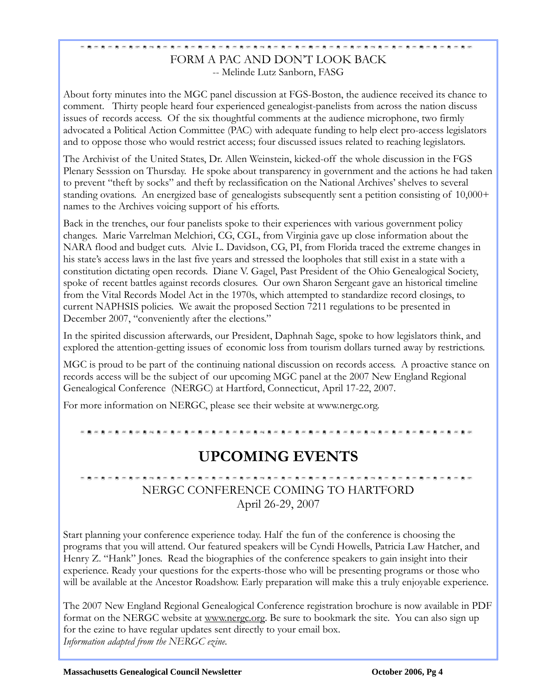#### FORM A PAC AND DON'T LOOK BACK -- Melinde Lutz Sanborn, FASG

About forty minutes into the MGC panel discussion at FGS-Boston, the audience received its chance to comment. Thirty people heard four experienced genealogist-panelists from across the nation discuss issues of records access. Of the six thoughtful comments at the audience microphone, two firmly advocated a Political Action Committee (PAC) with adequate funding to help elect pro-access legislators and to oppose those who would restrict access; four discussed issues related to reaching legislators.

The Archivist of the United States, Dr. Allen Weinstein, kicked-off the whole discussion in the FGS Plenary Sesssion on Thursday. He spoke about transparency in government and the actions he had taken to prevent "theft by socks" and theft by reclassification on the National Archives' shelves to several standing ovations. An energized base of genealogists subsequently sent a petition consisting of 10,000+ names to the Archives voicing support of his efforts.

Back in the trenches, our four panelists spoke to their experiences with various government policy changes. Marie Varrelman Melchiori, CG, CGL, from Virginia gave up close information about the NARA flood and budget cuts. Alvie L. Davidson, CG, PI, from Florida traced the extreme changes in his state's access laws in the last five years and stressed the loopholes that still exist in a state with a constitution dictating open records. Diane V. Gagel, Past President of the Ohio Genealogical Society, spoke of recent battles against records closures. Our own Sharon Sergeant gave an historical timeline from the Vital Records Model Act in the 1970s, which attempted to standardize record closings, to current NAPHSIS policies. We await the proposed Section 7211 regulations to be presented in December 2007, "conveniently after the elections."

In the spirited discussion afterwards, our President, Daphnah Sage, spoke to how legislators think, and explored the attention-getting issues of economic loss from tourism dollars turned away by restrictions.

MGC is proud to be part of the continuing national discussion on records access. A proactive stance on records access will be the subject of our upcoming MGC panel at the 2007 New England Regional Genealogical Conference (NERGC) at Hartford, Connecticut, April 17-22, 2007.

For more information on NERGC, please see their website at www.nergc.org.

### **UPCOMING EVENTS**

# NERGC CONFERENCE COMING TO HARTFORD April 26-29, 2007

Start planning your conference experience today. Half the fun of the conference is choosing the programs that you will attend. Our featured speakers will be Cyndi Howells, Patricia Law Hatcher, and Henry Z. "Hank" Jones. Read the biographies of the conference speakers to gain insight into their experience. Ready your questions for the experts-those who will be presenting programs or those who will be available at the Ancestor Roadshow. Early preparation will make this a truly enjoyable experience.

The 2007 New England Regional Genealogical Conference registration brochure is now available in PDF format on the NERGC website at [www.nergc.org.](http://www.nergc.org/) Be sure to bookmark the site. You can also sign up for the ezine to have regular updates sent directly to your email box. *Information adapted from the NERGC ezine.* 

 $\overline{a}$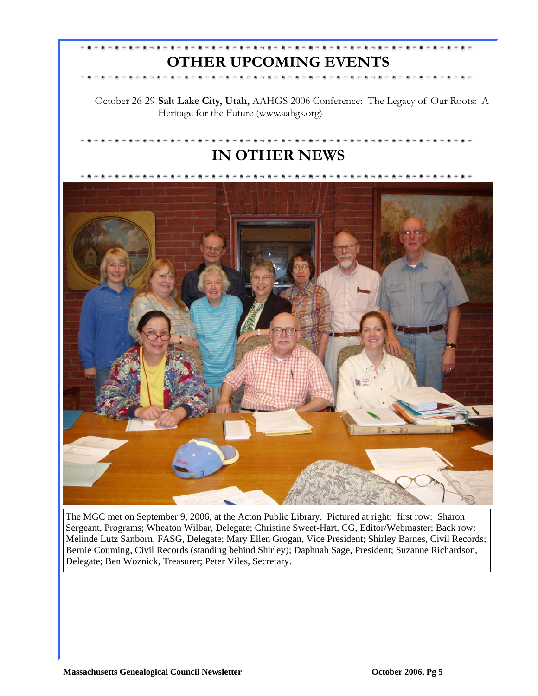# **OTHER UPCOMING EVENTS**

October 26-29 **Salt Lake City, Utah,** AAHGS 2006 Conference: The Legacy of Our Roots: A Heritage for the Future (www.aahgs.org)

# **IN OTHER NEWS**



The MGC met on September 9, 2006, at the Acton Public Library. Pictured at right: first row: Sharon Sergeant, Programs; Wheaton Wilbar, Delegate; Christine Sweet-Hart, CG, Editor/Webmaster; Back row: Melinde Lutz Sanborn, FASG, Delegate; Mary Ellen Grogan, Vice President; Shirley Barnes, Civil Records; Bernie Couming, Civil Records (standing behind Shirley); Daphnah Sage, President; Suzanne Richardson, Delegate; Ben Woznick, Treasurer; Peter Viles, Secretary.

 $\overline{a}$